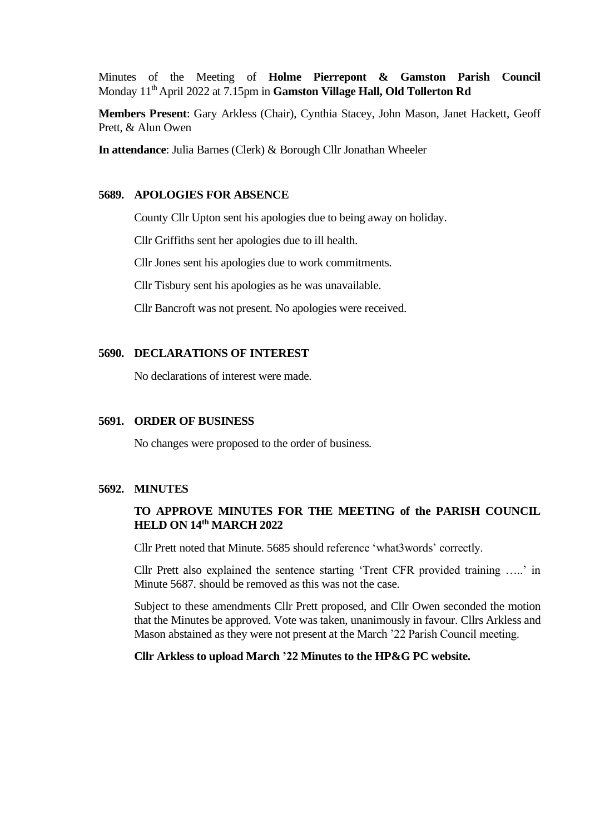Minutes of the Meeting of **Holme Pierrepont & Gamston Parish Council** Monday 11<sup>th</sup> April 2022 at 7.15pm in Gamston Village Hall, Old Tollerton Rd

**Members Present**: Gary Arkless (Chair), Cynthia Stacey, John Mason, Janet Hackett, Geoff Prett, & Alun Owen

**In attendance**: Julia Barnes (Clerk) & Borough Cllr Jonathan Wheeler

#### **5689. APOLOGIES FOR ABSENCE**

County Cllr Upton sent his apologies due to being away on holiday.

Cllr Griffiths sent her apologies due to ill health.

Cllr Jones sent his apologies due to work commitments.

Cllr Tisbury sent his apologies as he was unavailable.

Cllr Bancroft was not present. No apologies were received.

### **5690. DECLARATIONS OF INTEREST**

No declarations of interest were made.

### **5691. ORDER OF BUSINESS**

No changes were proposed to the order of business.

# **5692. MINUTES**

# **TO APPROVE MINUTES FOR THE MEETING of the PARISH COUNCIL HELD ON 14 th MARCH 2022**

Cllr Prett noted that Minute. 5685 should reference 'what3words' correctly.

Cllr Prett also explained the sentence starting 'Trent CFR provided training …..' in Minute 5687. should be removed as this was not the case.

Subject to these amendments Cllr Prett proposed, and Cllr Owen seconded the motion that the Minutes be approved. Vote was taken, unanimously in favour. Cllrs Arkless and Mason abstained as they were not present at the March '22 Parish Council meeting.

#### **Cllr Arkless to upload March '22 Minutes to the HP&G PC website.**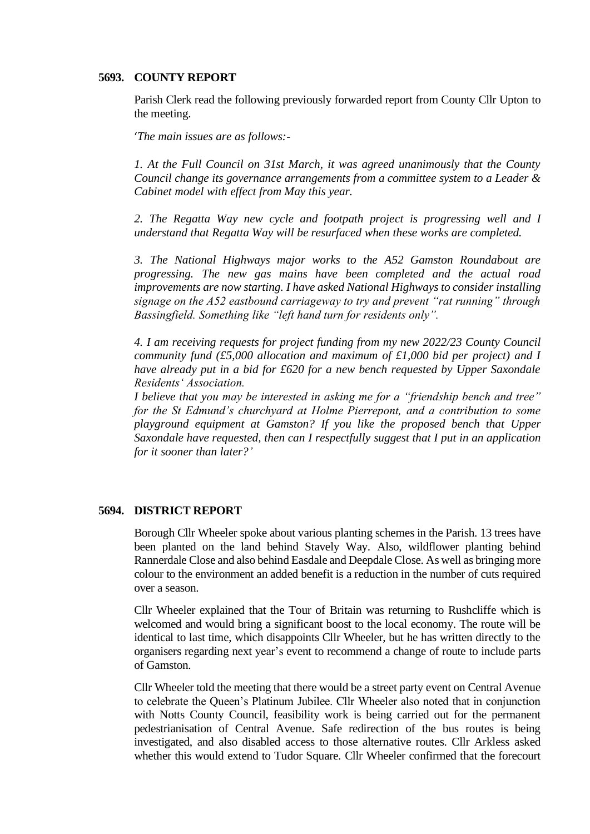#### **5693. COUNTY REPORT**

Parish Clerk read the following previously forwarded report from County Cllr Upton to the meeting.

'*The main issues are as follows:-*

*1. At the Full Council on 31st March, it was agreed unanimously that the County Council change its governance arrangements from a committee system to a Leader & Cabinet model with effect from May this year.* 

*2. The Regatta Way new cycle and footpath project is progressing well and I understand that Regatta Way will be resurfaced when these works are completed.* 

*3. The National Highways major works to the A52 Gamston Roundabout are progressing. The new gas mains have been completed and the actual road improvements are now starting. I have asked National Highways to consider installing signage on the A52 eastbound carriageway to try and prevent "rat running" through Bassingfield. Something like "left hand turn for residents only".* 

*4. I am receiving requests for project funding from my new 2022/23 County Council community fund (£5,000 allocation and maximum of £1,000 bid per project) and I have already put in a bid for £620 for a new bench requested by Upper Saxondale Residents' Association.*

*I believe that you may be interested in asking me for a "friendship bench and tree" for the St Edmund's churchyard at Holme Pierrepont, and a contribution to some playground equipment at Gamston? If you like the proposed bench that Upper Saxondale have requested, then can I respectfully suggest that I put in an application for it sooner than later?'*

## **5694. DISTRICT REPORT**

Borough Cllr Wheeler spoke about various planting schemes in the Parish. 13 trees have been planted on the land behind Stavely Way. Also, wildflower planting behind Rannerdale Close and also behind Easdale and Deepdale Close. As well as bringing more colour to the environment an added benefit is a reduction in the number of cuts required over a season.

Cllr Wheeler explained that the Tour of Britain was returning to Rushcliffe which is welcomed and would bring a significant boost to the local economy. The route will be identical to last time, which disappoints Cllr Wheeler, but he has written directly to the organisers regarding next year's event to recommend a change of route to include parts of Gamston.

Cllr Wheeler told the meeting that there would be a street party event on Central Avenue to celebrate the Queen's Platinum Jubilee. Cllr Wheeler also noted that in conjunction with Notts County Council, feasibility work is being carried out for the permanent pedestrianisation of Central Avenue. Safe redirection of the bus routes is being investigated, and also disabled access to those alternative routes. Cllr Arkless asked whether this would extend to Tudor Square. Cllr Wheeler confirmed that the forecourt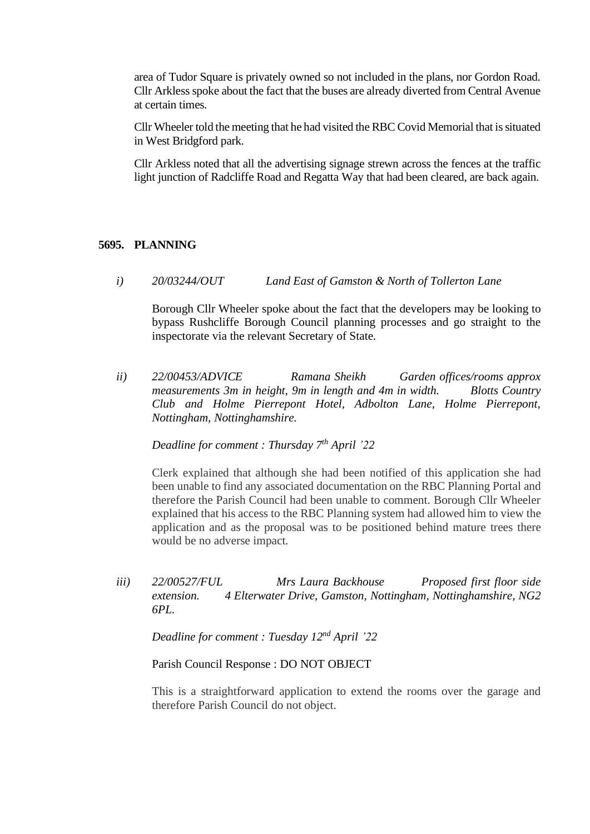area of Tudor Square is privately owned so not included in the plans, nor Gordon Road. Cllr Arkless spoke about the fact that the buses are already diverted from Central Avenue at certain times.

Cllr Wheeler told the meeting that he had visited the RBC Covid Memorial that is situated in West Bridgford park.

Cllr Arkless noted that all the advertising signage strewn across the fences at the traffic light junction of Radcliffe Road and Regatta Way that had been cleared, are back again.

### **5695. PLANNING**

*i) 20/03244/OUT Land East of Gamston & North of Tollerton Lane*

Borough Cllr Wheeler spoke about the fact that the developers may be looking to bypass Rushcliffe Borough Council planning processes and go straight to the inspectorate via the relevant Secretary of State.

*ii) 22/00453/ADVICE Ramana Sheikh Garden offices/rooms approx measurements 3m in height, 9m in length and 4m in width. Blotts Country Club and Holme Pierrepont Hotel, Adbolton Lane, Holme Pierrepont, Nottingham, Nottinghamshire.*

*Deadline for comment : Thursday 7 th April '22*

Clerk explained that although she had been notified of this application she had been unable to find any associated documentation on the RBC Planning Portal and therefore the Parish Council had been unable to comment. Borough Cllr Wheeler explained that his access to the RBC Planning system had allowed him to view the application and as the proposal was to be positioned behind mature trees there would be no adverse impact.

*iii*) **22/00527/FUL** Mrs Laura Backhouse Proposed first floor side *extension. 4 Elterwater Drive, Gamston, Nottingham, Nottinghamshire, NG2 6PL.*

*Deadline for comment : Tuesday 12<sup>nd</sup> April* '22

Parish Council Response : DO NOT OBJECT

This is a straightforward application to extend the rooms over the garage and therefore Parish Council do not object.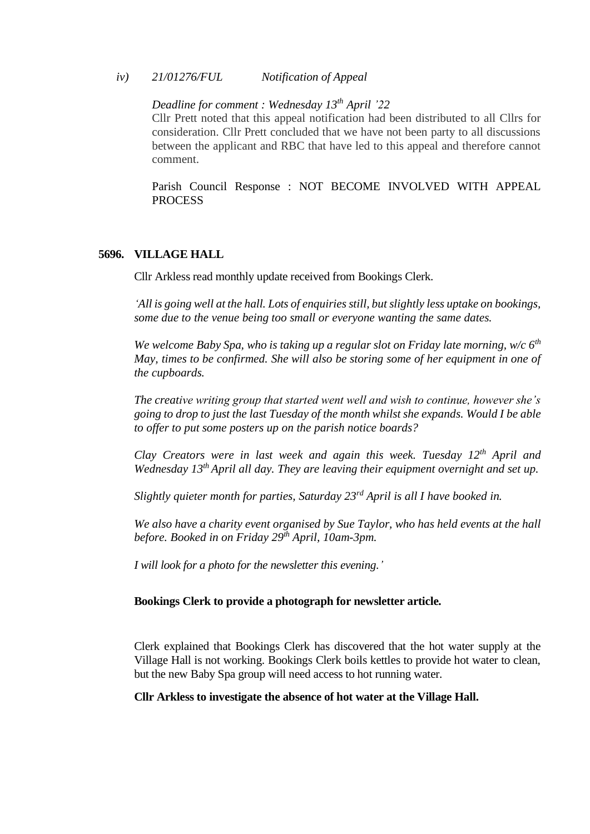#### *iv) 21/01276/FUL Notification of Appeal*

# *Deadline for comment : Wednesday 13th April '22*

Cllr Prett noted that this appeal notification had been distributed to all Cllrs for consideration. Cllr Prett concluded that we have not been party to all discussions between the applicant and RBC that have led to this appeal and therefore cannot comment.

Parish Council Response : NOT BECOME INVOLVED WITH APPEAL PROCESS

#### **5696. VILLAGE HALL**

Cllr Arkless read monthly update received from Bookings Clerk.

*'All is going well at the hall. Lots of enquiries still, but slightly less uptake on bookings, some due to the venue being too small or everyone wanting the same dates.*

*We welcome Baby Spa, who is taking up a regular slot on Friday late morning, w/c 6th May, times to be confirmed. She will also be storing some of her equipment in one of the cupboards.*

*The creative writing group that started went well and wish to continue, however she's going to drop to just the last Tuesday of the month whilst she expands. Would I be able to offer to put some posters up on the parish notice boards?*

*Clay Creators were in last week and again this week. Tuesday 12th April and Wednesday 13th April all day. They are leaving their equipment overnight and set up.*

*Slightly quieter month for parties, Saturday 23rd April is all I have booked in.*

*We also have a charity event organised by Sue Taylor, who has held events at the hall before. Booked in on Friday 29th April, 10am-3pm.*

*I will look for a photo for the newsletter this evening.'*

## **Bookings Clerk to provide a photograph for newsletter article.**

Clerk explained that Bookings Clerk has discovered that the hot water supply at the Village Hall is not working. Bookings Clerk boils kettles to provide hot water to clean, but the new Baby Spa group will need access to hot running water.

### **Cllr Arkless to investigate the absence of hot water at the Village Hall.**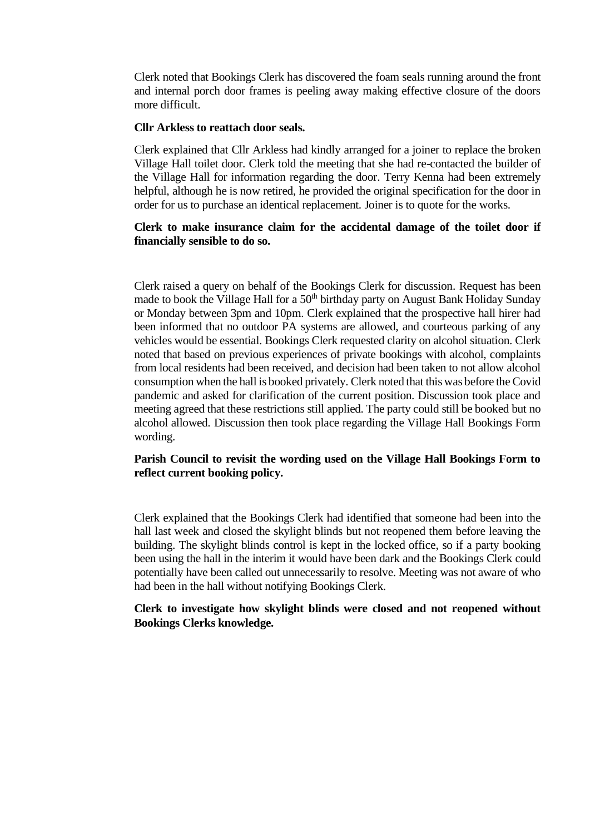Clerk noted that Bookings Clerk has discovered the foam seals running around the front and internal porch door frames is peeling away making effective closure of the doors more difficult.

### **Cllr Arkless to reattach door seals.**

Clerk explained that Cllr Arkless had kindly arranged for a joiner to replace the broken Village Hall toilet door. Clerk told the meeting that she had re-contacted the builder of the Village Hall for information regarding the door. Terry Kenna had been extremely helpful, although he is now retired, he provided the original specification for the door in order for us to purchase an identical replacement. Joiner is to quote for the works.

## **Clerk to make insurance claim for the accidental damage of the toilet door if financially sensible to do so.**

Clerk raised a query on behalf of the Bookings Clerk for discussion. Request has been made to book the Village Hall for a 50<sup>th</sup> birthday party on August Bank Holiday Sunday or Monday between 3pm and 10pm. Clerk explained that the prospective hall hirer had been informed that no outdoor PA systems are allowed, and courteous parking of any vehicles would be essential. Bookings Clerk requested clarity on alcohol situation. Clerk noted that based on previous experiences of private bookings with alcohol, complaints from local residents had been received, and decision had been taken to not allow alcohol consumption when the hall is booked privately. Clerk noted that this was before the Covid pandemic and asked for clarification of the current position. Discussion took place and meeting agreed that these restrictions still applied. The party could still be booked but no alcohol allowed. Discussion then took place regarding the Village Hall Bookings Form wording.

## **Parish Council to revisit the wording used on the Village Hall Bookings Form to reflect current booking policy.**

Clerk explained that the Bookings Clerk had identified that someone had been into the hall last week and closed the skylight blinds but not reopened them before leaving the building. The skylight blinds control is kept in the locked office, so if a party booking been using the hall in the interim it would have been dark and the Bookings Clerk could potentially have been called out unnecessarily to resolve. Meeting was not aware of who had been in the hall without notifying Bookings Clerk.

### **Clerk to investigate how skylight blinds were closed and not reopened without Bookings Clerks knowledge.**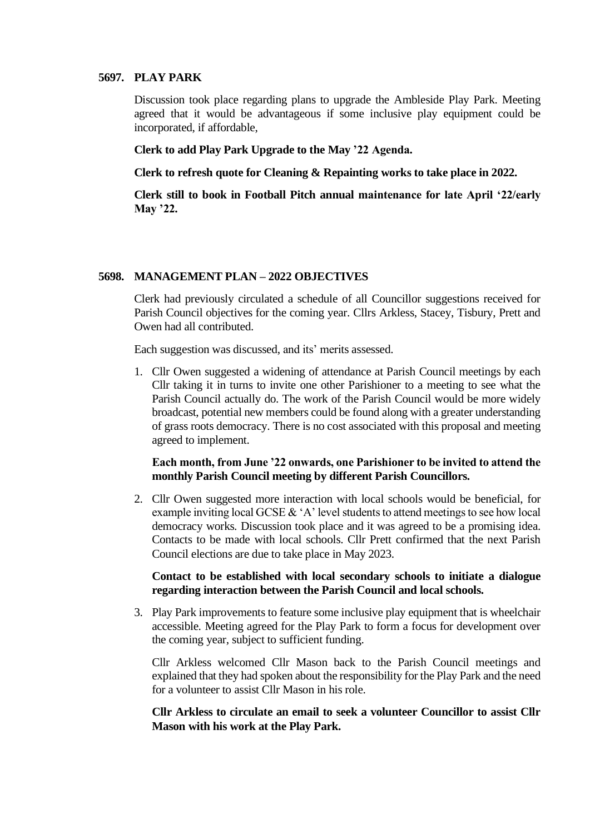#### **5697. PLAY PARK**

Discussion took place regarding plans to upgrade the Ambleside Play Park. Meeting agreed that it would be advantageous if some inclusive play equipment could be incorporated, if affordable,

**Clerk to add Play Park Upgrade to the May '22 Agenda.**

**Clerk to refresh quote for Cleaning & Repainting works to take place in 2022.**

**Clerk still to book in Football Pitch annual maintenance for late April '22/early May '22.**

### **5698. MANAGEMENT PLAN – 2022 OBJECTIVES**

Clerk had previously circulated a schedule of all Councillor suggestions received for Parish Council objectives for the coming year. Cllrs Arkless, Stacey, Tisbury, Prett and Owen had all contributed.

Each suggestion was discussed, and its' merits assessed.

1. Cllr Owen suggested a widening of attendance at Parish Council meetings by each Cllr taking it in turns to invite one other Parishioner to a meeting to see what the Parish Council actually do. The work of the Parish Council would be more widely broadcast, potential new members could be found along with a greater understanding of grass roots democracy. There is no cost associated with this proposal and meeting agreed to implement.

## **Each month, from June '22 onwards, one Parishioner to be invited to attend the monthly Parish Council meeting by different Parish Councillors.**

2. Cllr Owen suggested more interaction with local schools would be beneficial, for example inviting local GCSE & 'A' level students to attend meetings to see how local democracy works. Discussion took place and it was agreed to be a promising idea. Contacts to be made with local schools. Cllr Prett confirmed that the next Parish Council elections are due to take place in May 2023.

### **Contact to be established with local secondary schools to initiate a dialogue regarding interaction between the Parish Council and local schools.**

3. Play Park improvements to feature some inclusive play equipment that is wheelchair accessible. Meeting agreed for the Play Park to form a focus for development over the coming year, subject to sufficient funding.

Cllr Arkless welcomed Cllr Mason back to the Parish Council meetings and explained that they had spoken about the responsibility for the Play Park and the need for a volunteer to assist Cllr Mason in his role.

**Cllr Arkless to circulate an email to seek a volunteer Councillor to assist Cllr Mason with his work at the Play Park.**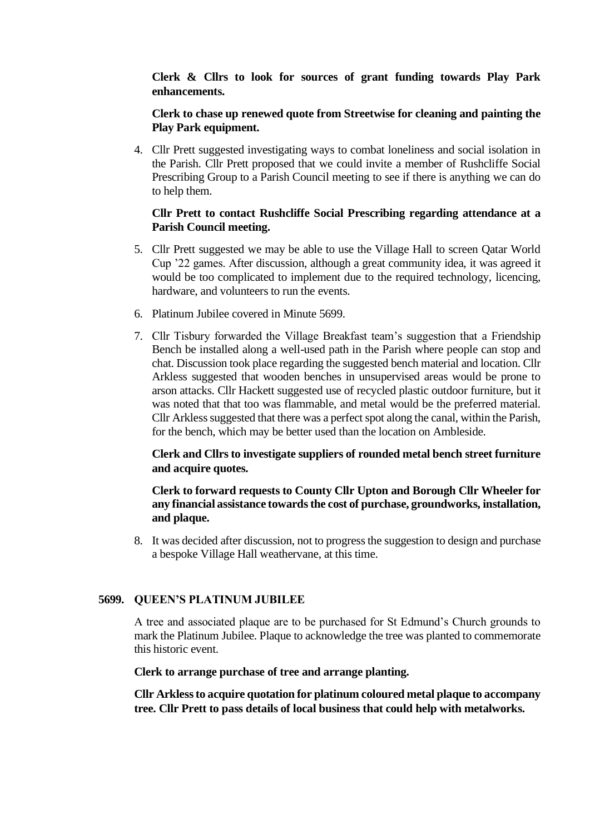**Clerk & Cllrs to look for sources of grant funding towards Play Park enhancements.**

# **Clerk to chase up renewed quote from Streetwise for cleaning and painting the Play Park equipment.**

4. Cllr Prett suggested investigating ways to combat loneliness and social isolation in the Parish. Cllr Prett proposed that we could invite a member of Rushcliffe Social Prescribing Group to a Parish Council meeting to see if there is anything we can do to help them.

# **Cllr Prett to contact Rushcliffe Social Prescribing regarding attendance at a Parish Council meeting.**

- 5. Cllr Prett suggested we may be able to use the Village Hall to screen Qatar World Cup '22 games. After discussion, although a great community idea, it was agreed it would be too complicated to implement due to the required technology, licencing, hardware, and volunteers to run the events.
- 6. Platinum Jubilee covered in Minute 5699.
- 7. Cllr Tisbury forwarded the Village Breakfast team's suggestion that a Friendship Bench be installed along a well-used path in the Parish where people can stop and chat. Discussion took place regarding the suggested bench material and location. Cllr Arkless suggested that wooden benches in unsupervised areas would be prone to arson attacks. Cllr Hackett suggested use of recycled plastic outdoor furniture, but it was noted that that too was flammable, and metal would be the preferred material. Cllr Arkless suggested that there was a perfect spot along the canal, within the Parish, for the bench, which may be better used than the location on Ambleside.

# **Clerk and Cllrs to investigate suppliers of rounded metal bench street furniture and acquire quotes.**

# **Clerk to forward requests to County Cllr Upton and Borough Cllr Wheeler for any financial assistance towards the cost of purchase, groundworks, installation, and plaque.**

8. It was decided after discussion, not to progress the suggestion to design and purchase a bespoke Village Hall weathervane, at this time.

### **5699. QUEEN'S PLATINUM JUBILEE**

A tree and associated plaque are to be purchased for St Edmund's Church grounds to mark the Platinum Jubilee. Plaque to acknowledge the tree was planted to commemorate this historic event.

### **Clerk to arrange purchase of tree and arrange planting.**

**Cllr Arkless to acquire quotation for platinum coloured metal plaque to accompany tree. Cllr Prett to pass details of local business that could help with metalworks.**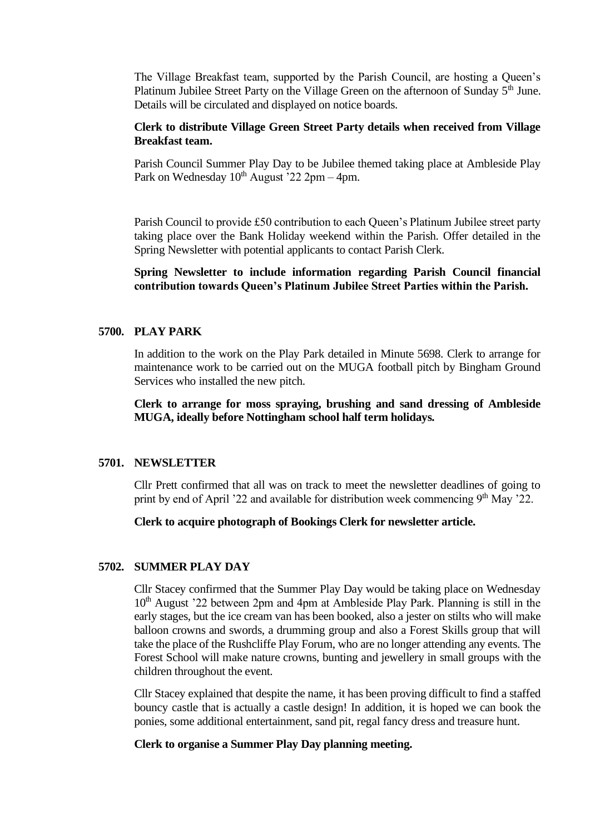The Village Breakfast team, supported by the Parish Council, are hosting a Queen's Platinum Jubilee Street Party on the Village Green on the afternoon of Sunday 5<sup>th</sup> June. Details will be circulated and displayed on notice boards.

## **Clerk to distribute Village Green Street Party details when received from Village Breakfast team.**

Parish Council Summer Play Day to be Jubilee themed taking place at Ambleside Play Park on Wednesday  $10^{th}$  August '22 2pm – 4pm.

Parish Council to provide £50 contribution to each Queen's Platinum Jubilee street party taking place over the Bank Holiday weekend within the Parish. Offer detailed in the Spring Newsletter with potential applicants to contact Parish Clerk.

**Spring Newsletter to include information regarding Parish Council financial contribution towards Queen's Platinum Jubilee Street Parties within the Parish.**

### **5700. PLAY PARK**

In addition to the work on the Play Park detailed in Minute 5698. Clerk to arrange for maintenance work to be carried out on the MUGA football pitch by Bingham Ground Services who installed the new pitch.

**Clerk to arrange for moss spraying, brushing and sand dressing of Ambleside MUGA, ideally before Nottingham school half term holidays.**

### **5701. NEWSLETTER**

Cllr Prett confirmed that all was on track to meet the newsletter deadlines of going to print by end of April '22 and available for distribution week commencing  $9<sup>th</sup>$  May '22.

#### **Clerk to acquire photograph of Bookings Clerk for newsletter article.**

#### **5702. SUMMER PLAY DAY**

Cllr Stacey confirmed that the Summer Play Day would be taking place on Wednesday 10<sup>th</sup> August '22 between 2pm and 4pm at Ambleside Play Park. Planning is still in the early stages, but the ice cream van has been booked, also a jester on stilts who will make balloon crowns and swords, a drumming group and also a Forest Skills group that will take the place of the Rushcliffe Play Forum, who are no longer attending any events. The Forest School will make nature crowns, bunting and jewellery in small groups with the children throughout the event.

Cllr Stacey explained that despite the name, it has been proving difficult to find a staffed bouncy castle that is actually a castle design! In addition, it is hoped we can book the ponies, some additional entertainment, sand pit, regal fancy dress and treasure hunt.

# **Clerk to organise a Summer Play Day planning meeting.**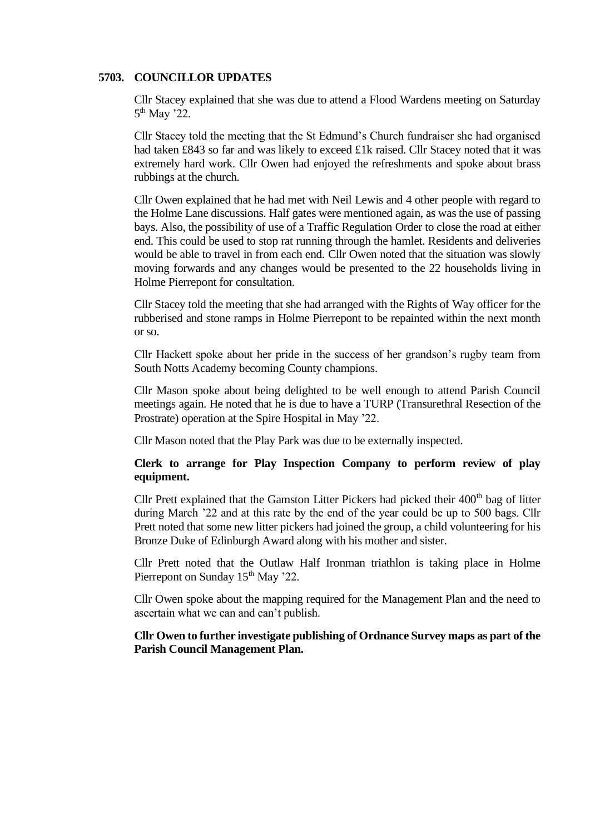#### **5703. COUNCILLOR UPDATES**

Cllr Stacey explained that she was due to attend a Flood Wardens meeting on Saturday 5<sup>th</sup> May '22.

Cllr Stacey told the meeting that the St Edmund's Church fundraiser she had organised had taken £843 so far and was likely to exceed £1k raised. Cllr Stacey noted that it was extremely hard work. Cllr Owen had enjoyed the refreshments and spoke about brass rubbings at the church.

Cllr Owen explained that he had met with Neil Lewis and 4 other people with regard to the Holme Lane discussions. Half gates were mentioned again, as was the use of passing bays. Also, the possibility of use of a Traffic Regulation Order to close the road at either end. This could be used to stop rat running through the hamlet. Residents and deliveries would be able to travel in from each end. Cllr Owen noted that the situation was slowly moving forwards and any changes would be presented to the 22 households living in Holme Pierrepont for consultation.

Cllr Stacey told the meeting that she had arranged with the Rights of Way officer for the rubberised and stone ramps in Holme Pierrepont to be repainted within the next month or so.

Cllr Hackett spoke about her pride in the success of her grandson's rugby team from South Notts Academy becoming County champions.

Cllr Mason spoke about being delighted to be well enough to attend Parish Council meetings again. He noted that he is due to have a TURP (Transurethral Resection of the Prostrate) operation at the Spire Hospital in May '22.

Cllr Mason noted that the Play Park was due to be externally inspected.

## **Clerk to arrange for Play Inspection Company to perform review of play equipment.**

Cllr Prett explained that the Gamston Litter Pickers had picked their  $400<sup>th</sup>$  bag of litter during March '22 and at this rate by the end of the year could be up to 500 bags. Cllr Prett noted that some new litter pickers had joined the group, a child volunteering for his Bronze Duke of Edinburgh Award along with his mother and sister.

Cllr Prett noted that the Outlaw Half Ironman triathlon is taking place in Holme Pierrepont on Sunday 15<sup>th</sup> May '22.

Cllr Owen spoke about the mapping required for the Management Plan and the need to ascertain what we can and can't publish.

# **Cllr Owen to further investigate publishing of Ordnance Survey maps as part of the Parish Council Management Plan.**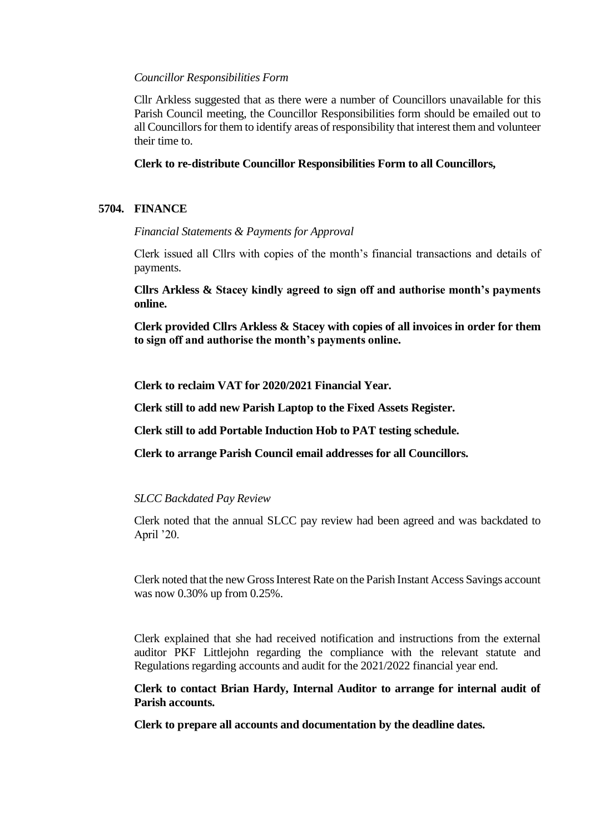#### *Councillor Responsibilities Form*

Cllr Arkless suggested that as there were a number of Councillors unavailable for this Parish Council meeting, the Councillor Responsibilities form should be emailed out to all Councillors for them to identify areas of responsibility that interest them and volunteer their time to.

### **Clerk to re-distribute Councillor Responsibilities Form to all Councillors,**

### **5704. FINANCE**

### *Financial Statements & Payments for Approval*

Clerk issued all Cllrs with copies of the month's financial transactions and details of payments.

**Cllrs Arkless & Stacey kindly agreed to sign off and authorise month's payments online.**

**Clerk provided Cllrs Arkless & Stacey with copies of all invoices in order for them to sign off and authorise the month's payments online.**

**Clerk to reclaim VAT for 2020/2021 Financial Year.**

**Clerk still to add new Parish Laptop to the Fixed Assets Register.**

**Clerk still to add Portable Induction Hob to PAT testing schedule.**

**Clerk to arrange Parish Council email addresses for all Councillors.**

### *SLCC Backdated Pay Review*

Clerk noted that the annual SLCC pay review had been agreed and was backdated to April '20.

Clerk noted that the new Gross Interest Rate on the Parish Instant Access Savings account was now 0.30% up from 0.25%.

Clerk explained that she had received notification and instructions from the external auditor PKF Littlejohn regarding the compliance with the relevant statute and Regulations regarding accounts and audit for the 2021/2022 financial year end.

**Clerk to contact Brian Hardy, Internal Auditor to arrange for internal audit of Parish accounts.**

**Clerk to prepare all accounts and documentation by the deadline dates.**